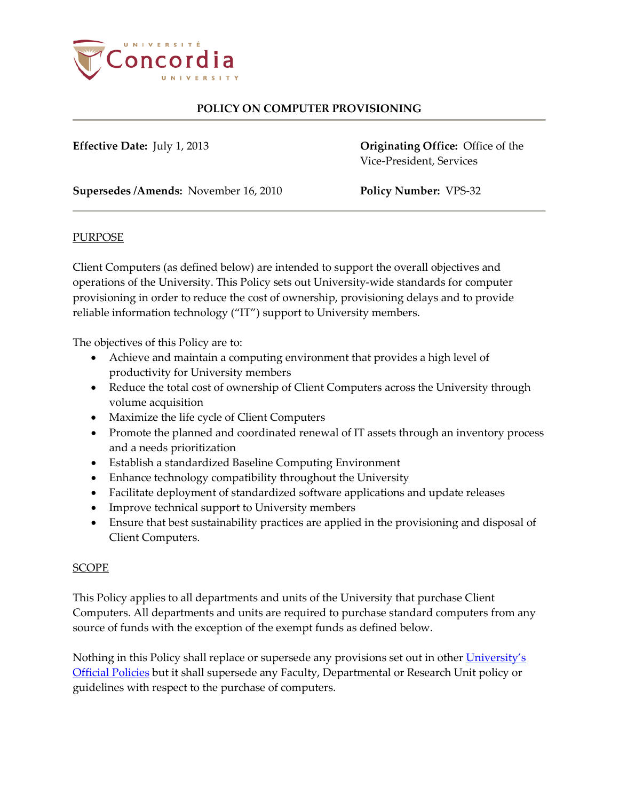

**Effective Date:** July 1, 2013 **Originating Office:** Office of the Vice-President, Services

**Supersedes /Amends:** November 16, 2010 **Policy Number:** VPS-32

## PURPOSE

Client Computers (as defined below) are intended to support the overall objectives and operations of the University. This Policy sets out University-wide standards for computer provisioning in order to reduce the cost of ownership, provisioning delays and to provide reliable information technology ("IT") support to University members.

The objectives of this Policy are to:

- Achieve and maintain a computing environment that provides a high level of productivity for University members
- Reduce the total cost of ownership of Client Computers across the University through volume acquisition
- Maximize the life cycle of Client Computers
- Promote the planned and coordinated renewal of IT assets through an inventory process and a needs prioritization
- Establish a standardized Baseline Computing Environment
- Enhance technology compatibility throughout the University
- Facilitate deployment of standardized software applications and update releases
- Improve technical support to University members
- Ensure that best sustainability practices are applied in the provisioning and disposal of Client Computers.

## **SCOPE**

This Policy applies to all departments and units of the University that purchase Client Computers. All departments and units are required to purchase standard computers from any source of funds with the exception of the exempt funds as defined below.

Nothing in this Policy shall replace or supersede any provisions set out in other University's [Official Policies](http://www.concordia.ca/about/policies.html) but it shall supersede any Faculty, Departmental or Research Unit policy or guidelines with respect to the purchase of computers.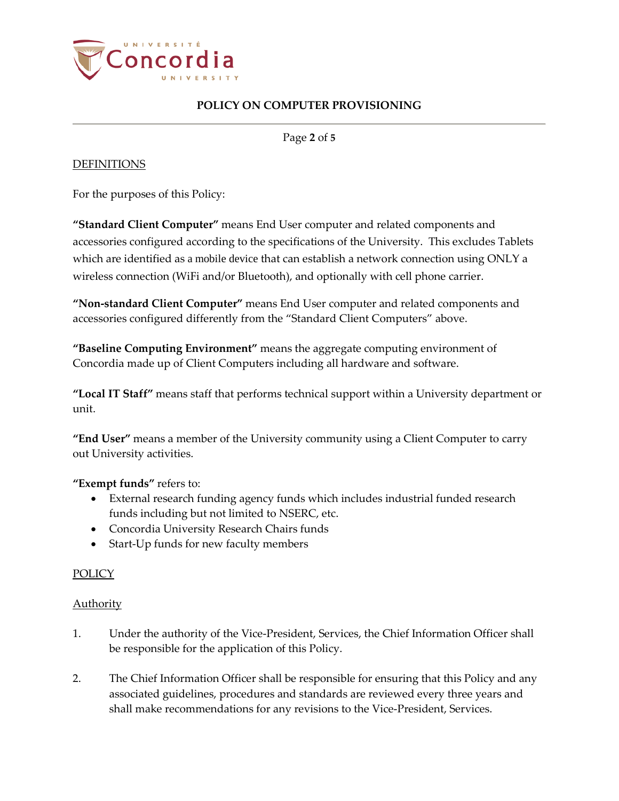

Page **2** of **5**

## DEFINITIONS

For the purposes of this Policy:

**"Standard Client Computer"** means End User computer and related components and accessories configured according to the specifications of the University. This excludes Tablets which are identified as a mobile device that can establish a network connection using ONLY a wireless connection (WiFi and/or Bluetooth), and optionally with cell phone carrier.

**"Non-standard Client Computer"** means End User computer and related components and accessories configured differently from the "Standard Client Computers" above.

**"Baseline Computing Environment"** means the aggregate computing environment of Concordia made up of Client Computers including all hardware and software.

**"Local IT Staff"** means staff that performs technical support within a University department or unit.

**"End User"** means a member of the University community using a Client Computer to carry out University activities.

**"Exempt funds"** refers to:

- External research funding agency funds which includes industrial funded research funds including but not limited to NSERC, etc.
- Concordia University Research Chairs funds
- Start-Up funds for new faculty members

## **POLICY**

## **Authority**

- 1. Under the authority of the Vice-President, Services, the Chief Information Officer shall be responsible for the application of this Policy.
- 2. The Chief Information Officer shall be responsible for ensuring that this Policy and any associated guidelines, procedures and standards are reviewed every three years and shall make recommendations for any revisions to the Vice-President, Services.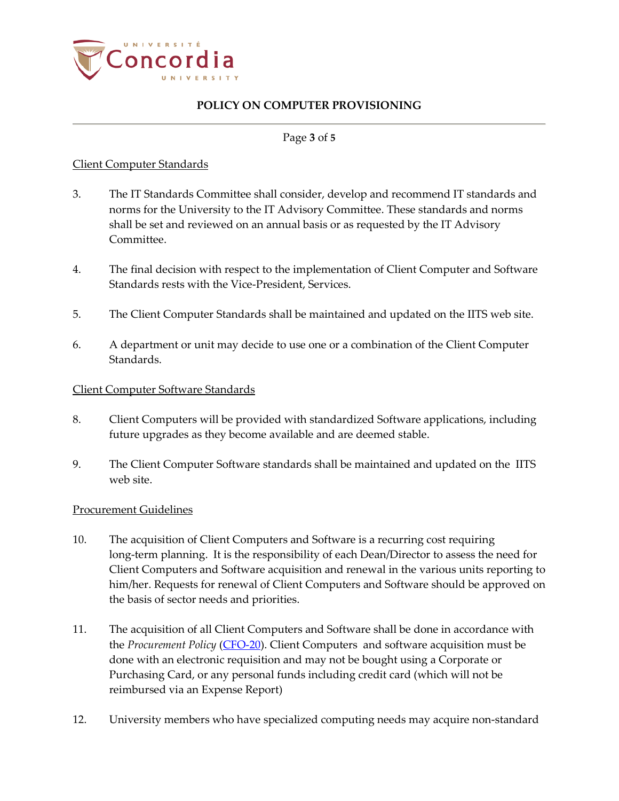

#### Page **3** of **5**

## Client Computer Standards

- 3. The IT Standards Committee shall consider, develop and recommend IT standards and norms for the University to the IT Advisory Committee. These standards and norms shall be set and reviewed on an annual basis or as requested by the IT Advisory Committee.
- 4. The final decision with respect to the implementation of Client Computer and Software Standards rests with the Vice-President, Services.
- 5. The Client Computer Standards shall be maintained and updated on the IITS web site.
- 6. A department or unit may decide to use one or a combination of the Client Computer Standards.

#### Client Computer Software Standards

- 8. Client Computers will be provided with standardized Software applications, including future upgrades as they become available and are deemed stable.
- 9. The Client Computer Software standards shall be maintained and updated on the IITS web site.

#### Procurement Guidelines

- 10. The acquisition of Client Computers and Software is a recurring cost requiring long-term planning. It is the responsibility of each Dean/Director to assess the need for Client Computers and Software acquisition and renewal in the various units reporting to him/her. Requests for renewal of Client Computers and Software should be approved on the basis of sector needs and priorities.
- 11. The acquisition of all Client Computers and Software shall be done in accordance with the *Procurement Policy* [\(CFO-20\)](http://www.concordia.ca/content/dam/common/docs/policies/official-policies/CFO-20.pdf). Client Computers and software acquisition must be done with an electronic requisition and may not be bought using a Corporate or Purchasing Card, or any personal funds including credit card (which will not be reimbursed via an Expense Report)
- 12. University members who have specialized computing needs may acquire non-standard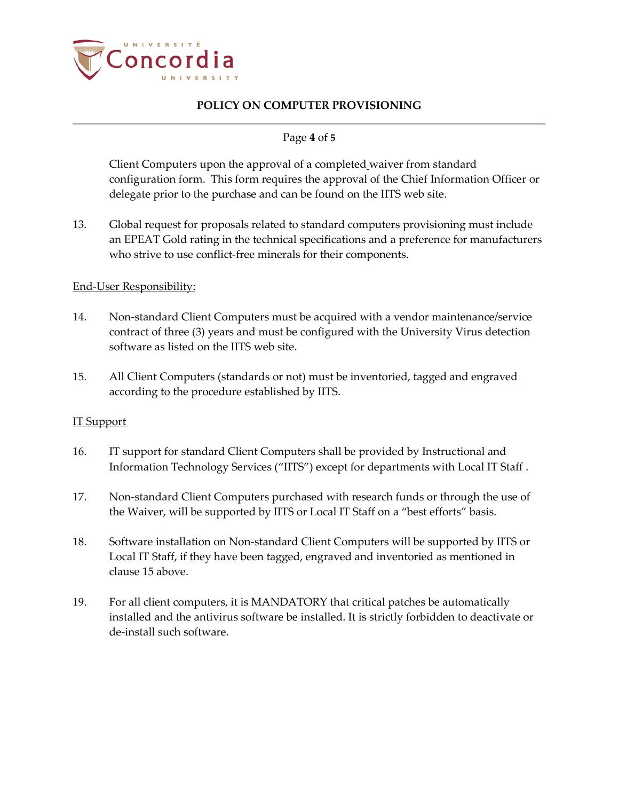

## Page **4** of **5**

Client Computers upon the approval of a completed waiver from standard configuration form. This form requires the approval of the Chief Information Officer or delegate prior to the purchase and can be found on the IITS web site.

13. Global request for proposals related to standard computers provisioning must include an EPEAT Gold rating in the technical specifications and a preference for manufacturers who strive to use conflict-free minerals for their components.

#### End-User Responsibility:

- 14. Non-standard Client Computers must be acquired with a vendor maintenance/service contract of three (3) years and must be configured with the University Virus detection software as listed on the IITS web site.
- 15. All Client Computers (standards or not) must be inventoried, tagged and engraved according to the procedure established by IITS.

#### IT Support

- 16. IT support for standard Client Computers shall be provided by Instructional and Information Technology Services ("IITS") except for departments with Local IT Staff .
- 17. Non-standard Client Computers purchased with research funds or through the use of the Waiver, will be supported by IITS or Local IT Staff on a "best efforts" basis.
- 18. Software installation on Non-standard Client Computers will be supported by IITS or Local IT Staff, if they have been tagged, engraved and inventoried as mentioned in clause 15 above.
- 19. For all client computers, it is MANDATORY that critical patches be automatically installed and the antivirus software be installed. It is strictly forbidden to deactivate or de-install such software.